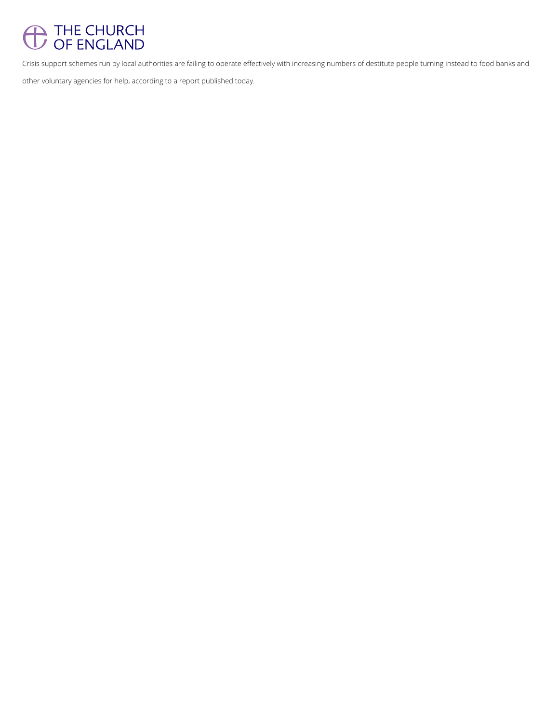## <sup>THE CHURCH</sup><br>
OF ENGLAND

Crisis support schemes run by local authorities are failing to operate effectively with increasing numbers of destitute people turning instead to food banks and

other voluntary agencies for help, according to a report published today.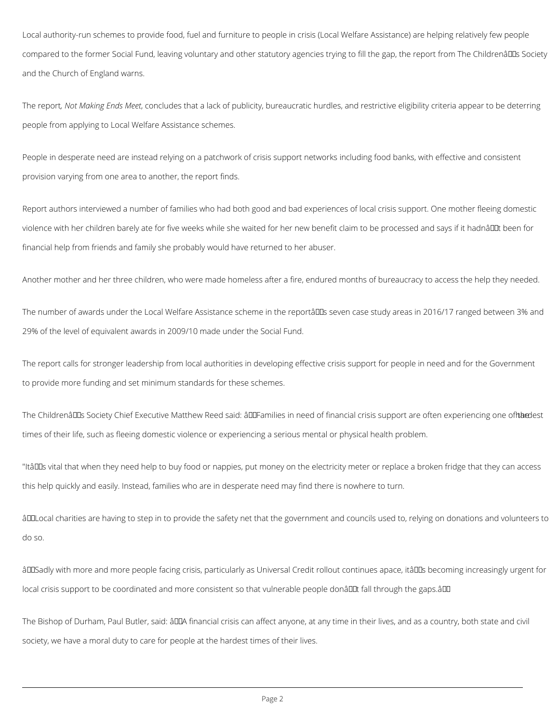Local authority-run schemes to provide food, fuel and furniture to people in crisis (Local Welfare Assistance) are helping relatively few people compared to the former Social Fund, leaving voluntary and other statutory agencies trying to fill the gap, the report from The ChildrenâllEs Society and the Church of England warns.

The report*, Not Making Ends Meet*, concludes that a lack of publicity, bureaucratic hurdles, and restrictive eligibility criteria appear to be deterring people from applying to Local Welfare Assistance schemes.

People in desperate need are instead relying on a patchwork of crisis support networks including food banks, with effective and consistent provision varying from one area to another, the report finds.

The number of awards under the Local Welfare Assistance scheme in the reportâll us seven case study areas in 2016/17 ranged between 3% and 29% of the level of equivalent awards in 2009/10 made under the Social Fund.

Report authors interviewed a number of families who had both good and bad experiences of local crisis support. One mother fleeing domestic violence with her children barely ate for five weeks while she waited for her new benefit claim to be processed and says if it hadnâl Dt been for financial help from friends and family she probably would have returned to her abuser.

The Childrenâll LIs Society Chief Executive Matthew Reed said: âLL Families in need of financial crisis support are often experiencing one of the edest times of their life, such as fleeing domestic violence or experiencing a serious mental or physical health problem.

"Itâlls vital that when they need help to buy food or nappies, put money on the electricity meter or replace a broken fridge that they can access this help quickly and easily. Instead, families who are in desperate need may find there is nowhere to turn.

âLOLocal charities are having to step in to provide the safety net that the government and councils used to, relying on donations and volunteers to

Another mother and her three children, who were made homeless after a fire, endured months of bureaucracy to access the help they needed.

The report calls for stronger leadership from local authorities in developing effective crisis support for people in need and for the Government to provide more funding and set minimum standards for these schemes.

âDDSadly with more and more people facing crisis, particularly as Universal Credit rollout continues apace, itâDDs becoming increasingly urgent for

local crisis support to be coordinated and more consistent so that vulnerable people donâum fall through the gaps.âu

The Bishop of Durham, Paul Butler, said: âDDA financial crisis can affect anyone, at any time in their lives, and as a country, both state and civil

society, we have a moral duty to care for people at the hardest times of their lives.